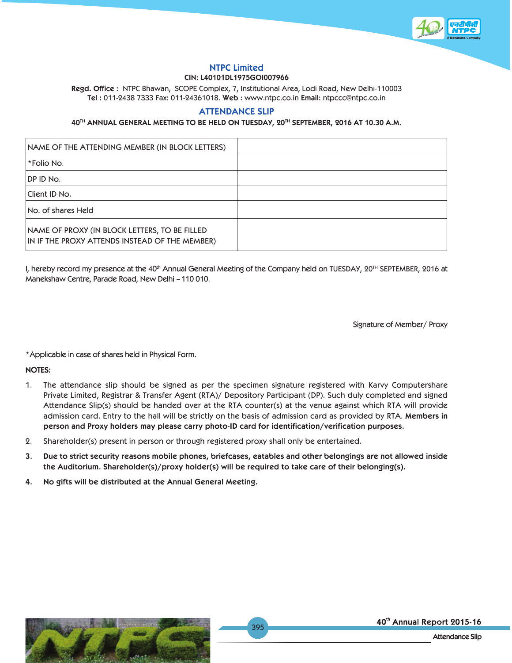

#### **NTPC Limited CIN: L40101DL1975GOI007966**

**Regd. Office :** NTPC Bhawan, SCOPE Complex, 7, Institutional Area, Lodi Road, New Delhi-110003 **Tel :** 011-2438 7333 Fax: 011-24361018. **Web :** www.ntpc.co.in **Email:** ntpccc@ntpc.co.in

# **ATTENDANCE SLIP**

### **40TH ANNUAL GENERAL MEETING TO BE HELD ON TUESDAY, 20TH SEPTEMBER, 2016 AT 10.30 A.M.**

| NAME OF THE ATTENDING MEMBER (IN BLOCK LETTERS)                                                 |  |
|-------------------------------------------------------------------------------------------------|--|
| <i>*</i> Folio No.                                                                              |  |
| DP ID No.                                                                                       |  |
| Client ID No.                                                                                   |  |
| No. of shares Held                                                                              |  |
| NAME OF PROXY (IN BLOCK LETTERS, TO BE FILLED<br>IN IF THE PROXY ATTENDS INSTEAD OF THE MEMBER) |  |

I, hereby record my presence at the 40<sup>th</sup> Annual General Meeting of the Company held on TUESDAY, 20<sup>TH</sup> SEPTEMBER, 2016 at Manekshaw Centre, Parade Road, New Delhi – 110 010.

Signature of Member/ Proxy

\*Applicable in case of shares held in Physical Form.

**NOTES:**

- 1. The attendance slip should be signed as per the specimen signature registered with Karvy Computershare Private Limited, Registrar & Transfer Agent (RTA)/ Depository Participant (DP). Such duly completed and signed Attendance Slip(s) should be handed over at the RTA counter(s) at the venue against which RTA will provide admission card. Entry to the hall will be strictly on the basis of admission card as provided by RTA. **Members in person and Proxy holders may please carry photo-ID card for identification/verification purposes.**
- 2. Shareholder(s) present in person or through registered proxy shall only be entertained.
- **3. Due to strict security reasons mobile phones, briefcases, eatables and other belongings are not allowed inside the Auditorium. Shareholder(s)/proxy holder(s) will be required to take care of their belonging(s).**
- **4. No gifts will be distributed at the Annual General Meeting.**



40th Annual Report 2015-16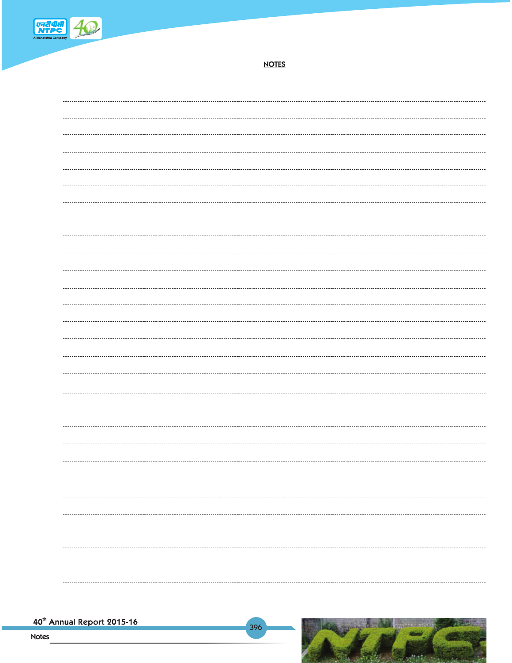

**NOTES**

| ------------ |  |
|--------------|--|
|              |  |
|              |  |
|              |  |
|              |  |
|              |  |
|              |  |
|              |  |
|              |  |
|              |  |
|              |  |
|              |  |
|              |  |
|              |  |
|              |  |
|              |  |
|              |  |
|              |  |
|              |  |
|              |  |
|              |  |
|              |  |
|              |  |
|              |  |
|              |  |
|              |  |
|              |  |
|              |  |
|              |  |
|              |  |
|              |  |
|              |  |

396

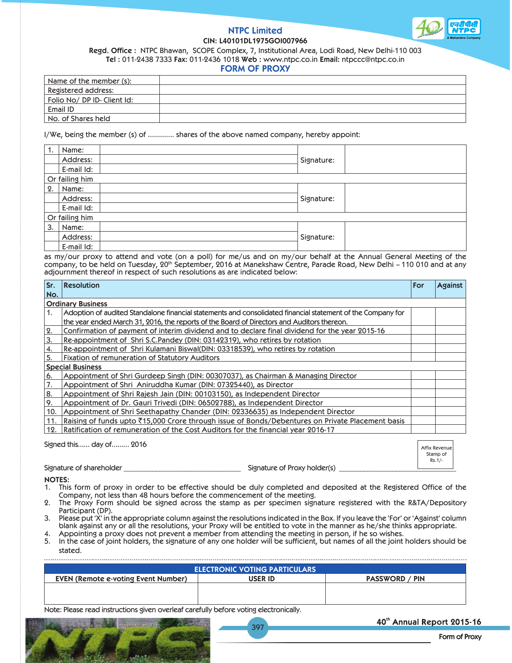#### **NTPC Limited CIN: L40101DL1975GOI007966**



**Regd. Office :** NTPC Bhawan, SCOPE Complex, 7, Institutional Area, Lodi Road, New Delhi-110 003

**Tel :** 011-2438 7333 **Fax:** 011-2436 1018 **Web :** www.ntpc.co.in **Email:** ntpccc@ntpc.co.in

#### **FORM OF PROXY**

| Name of the member (s):    |  |
|----------------------------|--|
| <b>Registered address:</b> |  |
| Folio No/DP ID-Client Id:  |  |
| Email ID                   |  |
| No. of Shares held         |  |

I/We, being the member (s) of …………. shares of the above named company, hereby appoint:

|    | Name:          |  |            |  |
|----|----------------|--|------------|--|
|    | Address:       |  | Signature: |  |
|    | E-mail Id:     |  |            |  |
|    | Or failing him |  |            |  |
| 2. | Name:          |  |            |  |
|    | Address:       |  | Signature: |  |
|    | E-mail Id:     |  |            |  |
|    | Or failing him |  |            |  |
| 3. | Name:          |  |            |  |
|    | Address:       |  | Signature: |  |
|    | E-mail Id:     |  |            |  |

as my/our proxy to attend and vote (on a poll) for me/us and on my/our behalf at the Annual General Meeting of the company, to be held on Tuesday, 20th September, 2016 at Manekshaw Centre, Parade Road, New Delhi – 110 010 and at any adjournment thereof in respect of such resolutions as are indicated below:

| Sr. | <b>Resolution</b>                                                                                           | For | <b>Against</b> |
|-----|-------------------------------------------------------------------------------------------------------------|-----|----------------|
| No. |                                                                                                             |     |                |
|     | <b>Ordinary Business</b>                                                                                    |     |                |
| 1.  | Adoption of audited Standalone financial statements and consolidated financial statement of the Company for |     |                |
|     | the year ended March 31, 2016, the reports of the Board of Directors and Auditors thereon.                  |     |                |
| 2.  | Confirmation of payment of interim dividend and to declare final dividend for the year 2015-16              |     |                |
| 3.  | Re-appointment of Shri S.C.Pandey (DIN: 03142319), who retires by rotation                                  |     |                |
| 4.  | Re-appointment of Shri Kulamani Biswal(DIN: 03318539), who retires by rotation                              |     |                |
| 5.  | Fixation of remuneration of Statutory Auditors                                                              |     |                |
|     | <b>Special Business</b>                                                                                     |     |                |
| 6.  | Appointment of Shri Gurdeep Singh (DIN: 00307037), as Chairman & Managing Director                          |     |                |
|     | Appointment of Shri Aniruddha Kumar (DIN: 07325440), as Director                                            |     |                |
| 8.  | Appointment of Shri Rajesh Jain (DIN: 00103150), as Independent Director                                    |     |                |
| ۱9. | Appointment of Dr. Gauri Trivedi (DIN: 06502788), as Independent Director                                   |     |                |
| 10. | Appointment of Shri Seethapathy Chander (DIN: 02336635) as Independent Director                             |     |                |
| 11. | Raising of funds upto ₹15,000 Crore through issue of Bonds/Debentures on Private Placement basis            |     |                |
| 12. | $\mid$ Ratification of remuneration of the Cost Auditors for the financial year 2016-17                     |     |                |
|     |                                                                                                             |     |                |

| Signed this day of 2016  |                              | Affix Revenue        |  |
|--------------------------|------------------------------|----------------------|--|
|                          |                              | Stamp of<br>$Rs.1/-$ |  |
| Signature of shareholder | Signature of Proxy holder(s) |                      |  |

**NOTES:**

- 1. This form of proxy in order to be effective should be duly completed and deposited at the Registered Office of the Company, not less than 48 hours before the commencement of the meeting.
- 2. The Proxy Form should be signed across the stamp as per specimen signature registered with the R&TA/Depository Participant (DP).
- 3. Please put 'X' in the appropriate column against the resolutions indicated in the Box. If you leave the 'For' or 'Against' column blank against any or all the resolutions, your Proxy will be entitled to vote in the manner as he/she thinks appropriate.
- 4. Appointing a proxy does not prevent a member from attending the meeting in person, if he so wishes. 5. In the case of joint holders, the signature of any one holder will be sufficient, but names of all the joint holders should be stated.

| <b>USER ID</b> |                               |
|----------------|-------------------------------|
|                | <b>PIN</b><br><b>PASSWORD</b> |
|                |                               |
|                |                               |
|                |                               |

397

Note: Please read instructions given overleaf carefully before voting electronically.



## 40th Annual Report 2015-16

**Form of Proxy**